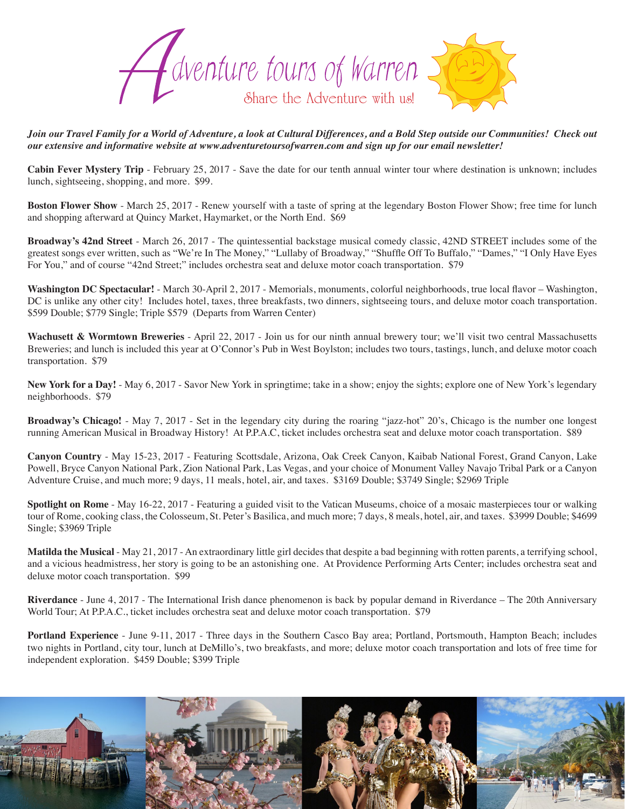

*Join our Travel Family for a World of Adventure, a look at Cultural Differences, and a Bold Step outside our Communities! Check out our extensive and informative website at www.adventuretoursofwarren.com and sign up for our email newsletter!* 

**Cabin Fever Mystery Trip** - February 25, 2017 - Save the date for our tenth annual winter tour where destination is unknown; includes lunch, sightseeing, shopping, and more. \$99.

**Boston Flower Show** - March 25, 2017 - Renew yourself with a taste of spring at the legendary Boston Flower Show; free time for lunch and shopping afterward at Quincy Market, Haymarket, or the North End. \$69

**Broadway's 42nd Street** - March 26, 2017 - The quintessential backstage musical comedy classic, 42ND STREET includes some of the greatest songs ever written, such as "We're In The Money," "Lullaby of Broadway," "Shuffle Off To Buffalo," "Dames," "I Only Have Eyes For You," and of course "42nd Street;" includes orchestra seat and deluxe motor coach transportation. \$79

**Washington DC Spectacular!** - March 30-April 2, 2017 - Memorials, monuments, colorful neighborhoods, true local flavor – Washington, DC is unlike any other city! Includes hotel, taxes, three breakfasts, two dinners, sightseeing tours, and deluxe motor coach transportation. \$599 Double; \$779 Single; Triple \$579 (Departs from Warren Center)

Wachusett & Wormtown Breweries - April 22, 2017 - Join us for our ninth annual brewery tour; we'll visit two central Massachusetts Breweries; and lunch is included this year at O'Connor's Pub in West Boylston; includes two tours, tastings, lunch, and deluxe motor coach transportation. \$79

New York for a Day! - May 6, 2017 - Savor New York in springtime; take in a show; enjoy the sights; explore one of New York's legendary neighborhoods. \$79

**Broadway's Chicago!** - May 7, 2017 - Set in the legendary city during the roaring "jazz-hot" 20's, Chicago is the number one longest running American Musical in Broadway History! At P.P.A.C, ticket includes orchestra seat and deluxe motor coach transportation. \$89

**Canyon Country** - May 15-23, 2017 - Featuring Scottsdale, Arizona, Oak Creek Canyon, Kaibab National Forest, Grand Canyon, Lake Powell, Bryce Canyon National Park, Zion National Park, Las Vegas, and your choice of Monument Valley Navajo Tribal Park or a Canyon Adventure Cruise, and much more; 9 days, 11 meals, hotel, air, and taxes. \$3169 Double; \$3749 Single; \$2969 Triple

**Spotlight on Rome** - May 16-22, 2017 - Featuring a guided visit to the Vatican Museums, choice of a mosaic masterpieces tour or walking tour of Rome, cooking class, the Colosseum, St. Peter's Basilica, and much more; 7 days, 8 meals, hotel, air, and taxes. \$3999 Double; \$4699 Single; \$3969 Triple

**Matilda the Musical** - May 21, 2017 - An extraordinary little girl decides that despite a bad beginning with rotten parents, a terrifying school, and a vicious headmistress, her story is going to be an astonishing one. At Providence Performing Arts Center; includes orchestra seat and deluxe motor coach transportation. \$99

**Riverdance** - June 4, 2017 - The International Irish dance phenomenon is back by popular demand in Riverdance – The 20th Anniversary World Tour; At P.P.A.C., ticket includes orchestra seat and deluxe motor coach transportation. \$79

**Portland Experience** - June 9-11, 2017 - Three days in the Southern Casco Bay area; Portland, Portsmouth, Hampton Beach; includes two nights in Portland, city tour, lunch at DeMillo's, two breakfasts, and more; deluxe motor coach transportation and lots of free time for independent exploration. \$459 Double; \$399 Triple